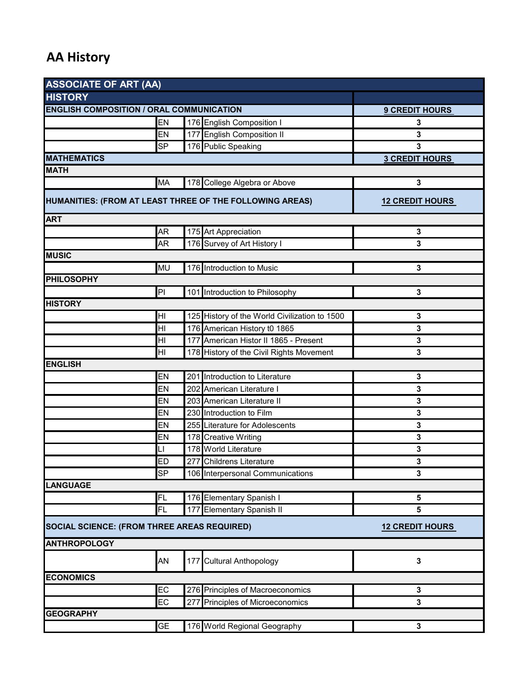## **AA History**

| <b>ASSOCIATE OF ART (AA)</b>                             |                        |  |                                                     |                        |  |  |
|----------------------------------------------------------|------------------------|--|-----------------------------------------------------|------------------------|--|--|
| <b>HISTORY</b>                                           |                        |  |                                                     |                        |  |  |
| <b>ENGLISH COMPOSITION / ORAL COMMUNICATION</b>          | <b>9 CREDIT HOURS</b>  |  |                                                     |                        |  |  |
|                                                          | EN                     |  | 176 English Composition I                           | 3                      |  |  |
|                                                          | EN                     |  | 177 English Composition II                          | 3                      |  |  |
|                                                          | SP                     |  | 176 Public Speaking                                 | 3                      |  |  |
| <b>MATHEMATICS</b>                                       |                        |  |                                                     | <b>3 CREDIT HOURS</b>  |  |  |
| <b>MATH</b>                                              |                        |  |                                                     |                        |  |  |
|                                                          | <b>MA</b>              |  | 178 College Algebra or Above                        | 3                      |  |  |
| HUMANITIES: (FROM AT LEAST THREE OF THE FOLLOWING AREAS) | <b>12 CREDIT HOURS</b> |  |                                                     |                        |  |  |
| <b>ART</b>                                               |                        |  |                                                     |                        |  |  |
|                                                          | <b>AR</b>              |  |                                                     |                        |  |  |
|                                                          | <b>AR</b>              |  | 175 Art Appreciation<br>176 Survey of Art History I | 3<br>3                 |  |  |
| <b>MUSIC</b>                                             |                        |  |                                                     |                        |  |  |
|                                                          |                        |  |                                                     |                        |  |  |
| <b>PHILOSOPHY</b>                                        | <b>MU</b>              |  | 176 Introduction to Music                           | 3                      |  |  |
|                                                          | PI                     |  | 101 Introduction to Philosophy                      | 3                      |  |  |
| <b>HISTORY</b>                                           |                        |  |                                                     |                        |  |  |
|                                                          | HI                     |  | 125 History of the World Civilization to 1500       | 3                      |  |  |
|                                                          | HI                     |  | 176 American History t0 1865                        | 3                      |  |  |
|                                                          | HI                     |  | 177 American Histor II 1865 - Present               | 3                      |  |  |
|                                                          | HI                     |  | 178 History of the Civil Rights Movement            | 3                      |  |  |
| <b>ENGLISH</b>                                           |                        |  |                                                     |                        |  |  |
|                                                          | EN                     |  | 201 Introduction to Literature                      | 3                      |  |  |
|                                                          | EN                     |  | 202 American Literature I                           | 3                      |  |  |
|                                                          | EN                     |  | 203 American Literature II                          | 3                      |  |  |
|                                                          | EN                     |  | 230 Introduction to Film                            | 3                      |  |  |
|                                                          | EN                     |  | 255 Literature for Adolescents                      | 3                      |  |  |
|                                                          | EN                     |  | 178 Creative Writing                                | 3                      |  |  |
|                                                          | LI                     |  | 178 World Literature                                | $\mathbf 3$            |  |  |
|                                                          | <b>ED</b>              |  | 277 Childrens Literature                            | 3                      |  |  |
|                                                          | SP                     |  | 106 Interpersonal Communications                    | 3                      |  |  |
| <b>LANGUAGE</b>                                          |                        |  |                                                     |                        |  |  |
|                                                          | FL                     |  | 176 Elementary Spanish I                            | 5                      |  |  |
|                                                          | FL                     |  | 177 Elementary Spanish II                           | 5                      |  |  |
|                                                          |                        |  |                                                     |                        |  |  |
| SOCIAL SCIENCE: (FROM THREE AREAS REQUIRED)              |                        |  |                                                     | <b>12 CREDIT HOURS</b> |  |  |
| <b>ANTHROPOLOGY</b>                                      |                        |  |                                                     |                        |  |  |
|                                                          | AN                     |  | 177 Cultural Anthopology                            | 3                      |  |  |
| <b>ECONOMICS</b>                                         |                        |  |                                                     |                        |  |  |
|                                                          | EC                     |  | 276 Principles of Macroeconomics                    | 3                      |  |  |
|                                                          | EC                     |  | 277 Principles of Microeconomics                    | 3                      |  |  |
| <b>GEOGRAPHY</b>                                         |                        |  |                                                     |                        |  |  |
|                                                          | <b>GE</b>              |  | 176 World Regional Geography                        | 3                      |  |  |
|                                                          |                        |  |                                                     |                        |  |  |